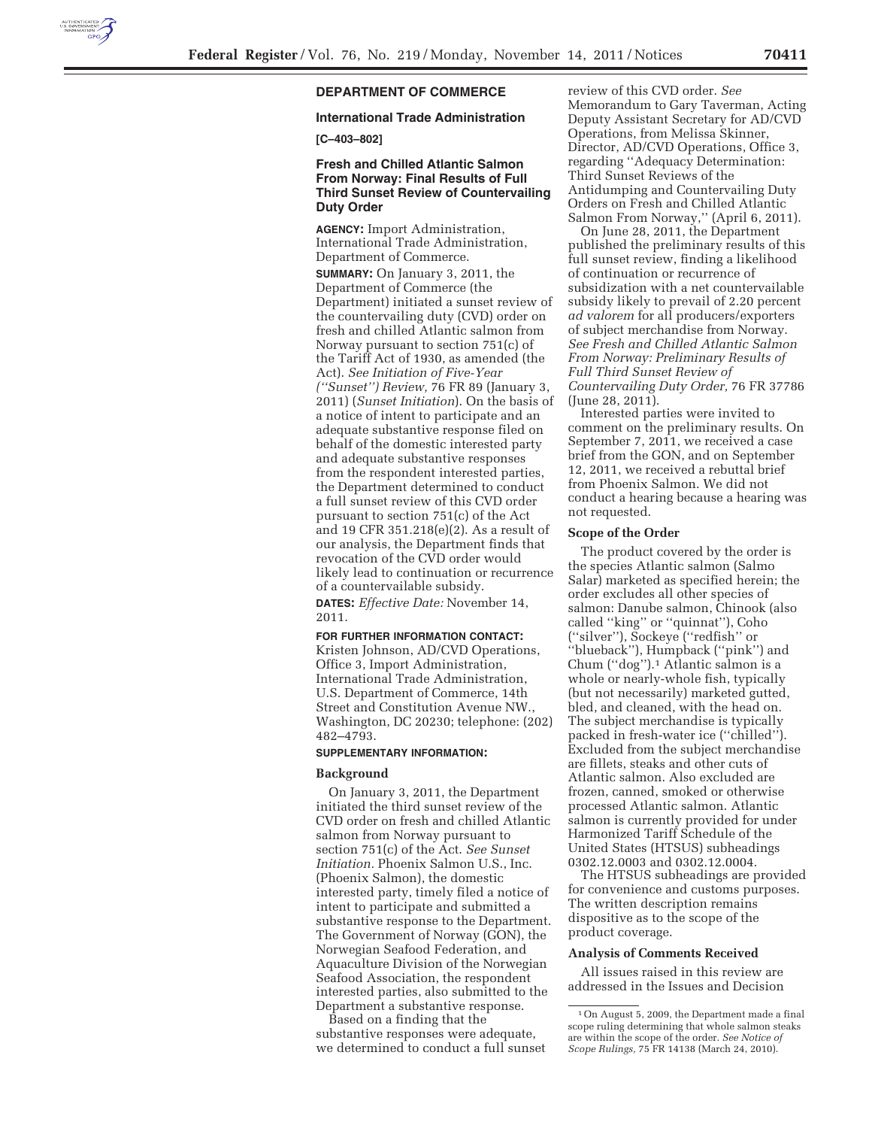

# **DEPARTMENT OF COMMERCE**

## **International Trade Administration**

## **[C–403–802]**

## **Fresh and Chilled Atlantic Salmon From Norway: Final Results of Full Third Sunset Review of Countervailing Duty Order**

**AGENCY:** Import Administration, International Trade Administration, Department of Commerce.

**SUMMARY:** On January 3, 2011, the Department of Commerce (the Department) initiated a sunset review of the countervailing duty (CVD) order on fresh and chilled Atlantic salmon from Norway pursuant to section 751(c) of the Tariff Act of 1930, as amended (the Act). *See Initiation of Five-Year (''Sunset'') Review,* 76 FR 89 (January 3, 2011) (*Sunset Initiation*). On the basis of a notice of intent to participate and an adequate substantive response filed on behalf of the domestic interested party and adequate substantive responses from the respondent interested parties, the Department determined to conduct a full sunset review of this CVD order pursuant to section 751(c) of the Act and 19 CFR 351.218(e)(2). As a result of our analysis, the Department finds that revocation of the CVD order would likely lead to continuation or recurrence of a countervailable subsidy.

**DATES:** *Effective Date:* November 14, 2011.

#### **FOR FURTHER INFORMATION CONTACT:**

Kristen Johnson, AD/CVD Operations, Office 3, Import Administration, International Trade Administration, U.S. Department of Commerce, 14th Street and Constitution Avenue NW., Washington, DC 20230; telephone: (202) 482–4793.

#### **SUPPLEMENTARY INFORMATION:**

### **Background**

On January 3, 2011, the Department initiated the third sunset review of the CVD order on fresh and chilled Atlantic salmon from Norway pursuant to section 751(c) of the Act. *See Sunset Initiation.* Phoenix Salmon U.S., Inc. (Phoenix Salmon), the domestic interested party, timely filed a notice of intent to participate and submitted a substantive response to the Department. The Government of Norway (GON), the Norwegian Seafood Federation, and Aquaculture Division of the Norwegian Seafood Association, the respondent interested parties, also submitted to the Department a substantive response.

Based on a finding that the substantive responses were adequate, we determined to conduct a full sunset

review of this CVD order. *See*  Memorandum to Gary Taverman, Acting Deputy Assistant Secretary for AD/CVD Operations, from Melissa Skinner, Director, AD/CVD Operations, Office 3, regarding ''Adequacy Determination: Third Sunset Reviews of the Antidumping and Countervailing Duty Orders on Fresh and Chilled Atlantic Salmon From Norway,'' (April 6, 2011).

On June 28, 2011, the Department published the preliminary results of this full sunset review, finding a likelihood of continuation or recurrence of subsidization with a net countervailable subsidy likely to prevail of 2.20 percent *ad valorem* for all producers/exporters of subject merchandise from Norway. *See Fresh and Chilled Atlantic Salmon From Norway: Preliminary Results of Full Third Sunset Review of Countervailing Duty Order,* 76 FR 37786 (June 28, 2011).

Interested parties were invited to comment on the preliminary results. On September 7, 2011, we received a case brief from the GON, and on September 12, 2011, we received a rebuttal brief from Phoenix Salmon. We did not conduct a hearing because a hearing was not requested.

### **Scope of the Order**

The product covered by the order is the species Atlantic salmon (Salmo Salar) marketed as specified herein; the order excludes all other species of salmon: Danube salmon, Chinook (also called ''king'' or ''quinnat''), Coho (''silver''), Sockeye (''redfish'' or ''blueback''), Humpback (''pink'') and Chum (''dog'').1 Atlantic salmon is a whole or nearly-whole fish, typically (but not necessarily) marketed gutted, bled, and cleaned, with the head on. The subject merchandise is typically packed in fresh-water ice (''chilled''). Excluded from the subject merchandise are fillets, steaks and other cuts of Atlantic salmon. Also excluded are frozen, canned, smoked or otherwise processed Atlantic salmon. Atlantic salmon is currently provided for under Harmonized Tariff Schedule of the United States (HTSUS) subheadings 0302.12.0003 and 0302.12.0004.

The HTSUS subheadings are provided for convenience and customs purposes. The written description remains dispositive as to the scope of the product coverage.

#### **Analysis of Comments Received**

All issues raised in this review are addressed in the Issues and Decision

<sup>1</sup>On August 5, 2009, the Department made a final scope ruling determining that whole salmon steaks are within the scope of the order. *See Notice of Scope Rulings,* 75 FR 14138 (March 24, 2010).